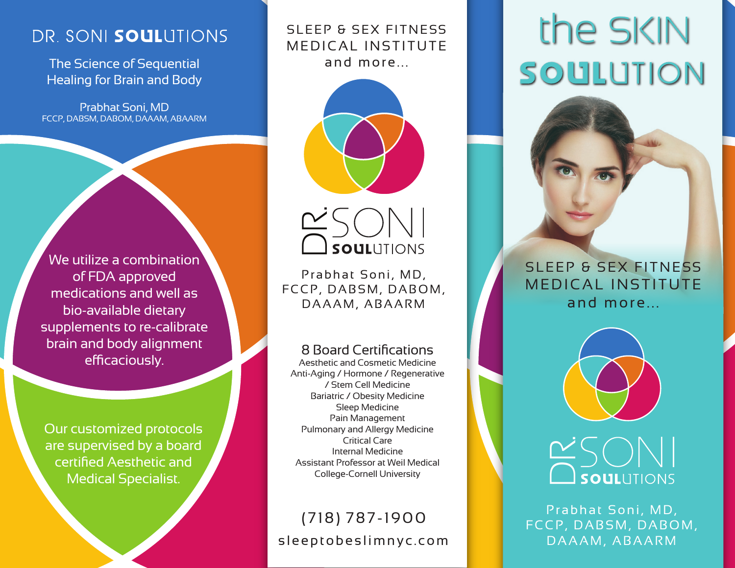# DR. SONI SOULUTIONS

The Science of Sequential Healing for Brain and Body

Prabhat Soni, MD FCCP, DABSM, DABOM, DAAAM, ABAARM

We utilize a combination of FDA approved medications and well as bio-available dietary supplements to re-calibrate brain and body alignment efficaciously.

Our customized protocols are supervised by a board certified Aesthetic and Medical Specialist.

MEDICAL INSTITUTE and more...





Prabhat Soni, MD, FCCP, DABSM, DABOM, <u>Canadia</u><br>Prabhat Soni, MD,<br>CP, DABSM, DABC<br>DAAAM, ABAARM

### 8 Board Certifications

Aesthetic and Cosmetic Medicine Anti-Aging / Hormone / Regenerative / Stem Cell Medicine Bariatric / Obesity Medicine Sleep Medicine Pain Management Pulmonary and Allergy Medicine Critical Care Internal Medicine Assistant Professor at Weil Medical College-Cornell University

# sleeptobeslimnyc.com (718) 787-1900

# SLEEP & SEX FITNESS The SKIN SOULUTION





# **DEAN SOULLES SOULLES DAAAM, ABAARM DRAAM, ABAARM**

Prabhat Soni, MD, FCCP, DABSM, DABOM,